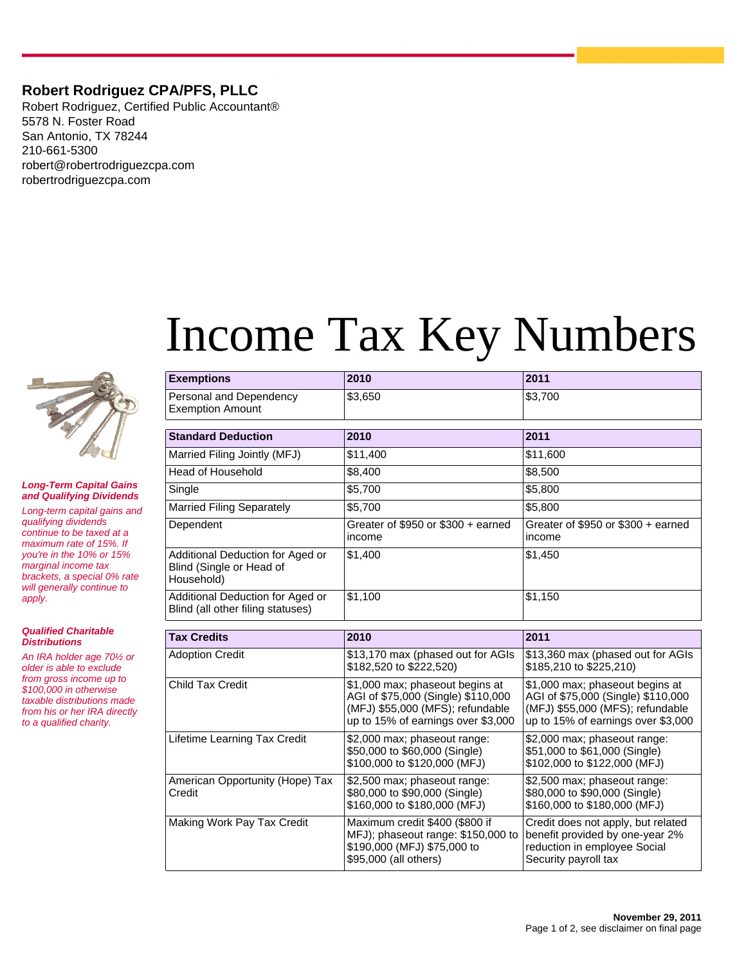## **Robert Rodriguez CPA/PFS, PLLC**

Robert Rodriguez, Certified Public Accountant® 5578 N. Foster Road San Antonio, TX 78244 210-661-5300 robert@robertrodriguezcpa.com robertrodriguezcpa.com



**Long-Term Capital Gains and Qualifying Dividends**

Long-term capital gains and qualifying dividends continue to be taxed at a maximum rate of 15%. If you're in the 10% or 15% marginal income tax brackets, a special 0% rate will generally continue to apply.

**Qualified Charitable Distributions**

An IRA holder age 70½ or older is able to exclude from gross income up to \$100,000 in otherwise taxable distributions made from his or her IRA directly to a qualified charity.

# Income Tax Key Numbers

| <b>Exemptions</b>                                                          | 2010                                           | 2011                                          |
|----------------------------------------------------------------------------|------------------------------------------------|-----------------------------------------------|
| Personal and Dependency<br><b>Exemption Amount</b>                         | \$3,650                                        | \$3,700                                       |
| <b>Standard Deduction</b>                                                  | 2010                                           | 2011                                          |
| Married Filing Jointly (MFJ)                                               | \$11,400                                       | \$11,600                                      |
| <b>Head of Household</b>                                                   | \$8,400                                        | \$8,500                                       |
| Single                                                                     | \$5,700                                        | \$5,800                                       |
| <b>Married Filing Separately</b>                                           | \$5,700                                        | \$5,800                                       |
| Dependent                                                                  | Greater of \$950 or \$300 $+$ earned<br>income | Greater of \$950 or $$300 +$ earned<br>income |
| Additional Deduction for Aged or<br>Blind (Single or Head of<br>Household) | \$1,400                                        | \$1,450                                       |
| Additional Deduction for Aged or<br>Blind (all other filing statuses)      | \$1,100                                        | \$1,150                                       |

| <b>Tax Credits</b>                        | 2010                                                                                                                                            | 2011                                                                                                                                            |
|-------------------------------------------|-------------------------------------------------------------------------------------------------------------------------------------------------|-------------------------------------------------------------------------------------------------------------------------------------------------|
| <b>Adoption Credit</b>                    | \$13,170 max (phased out for AGIs<br>\$182,520 to \$222,520)                                                                                    | \$13,360 max (phased out for AGIs<br>\$185,210 to \$225,210)                                                                                    |
| <b>Child Tax Credit</b>                   | \$1,000 max; phaseout begins at<br>AGI of \$75,000 (Single) \$110,000<br>(MFJ) \$55,000 (MFS); refundable<br>up to 15% of earnings over \$3,000 | \$1,000 max; phaseout begins at<br>AGI of \$75,000 (Single) \$110,000<br>(MFJ) \$55,000 (MFS); refundable<br>up to 15% of earnings over \$3,000 |
| Lifetime Learning Tax Credit              | \$2,000 max; phaseout range:<br>\$50,000 to \$60,000 (Single)<br>\$100,000 to \$120,000 (MFJ)                                                   | \$2,000 max; phaseout range:<br>\$51,000 to \$61,000 (Single)<br>\$102,000 to \$122,000 (MFJ)                                                   |
| American Opportunity (Hope) Tax<br>Credit | \$2,500 max; phaseout range:<br>\$80,000 to \$90,000 (Single)<br>\$160,000 to \$180,000 (MFJ)                                                   | \$2,500 max; phaseout range:<br>\$80,000 to \$90,000 (Single)<br>\$160,000 to \$180,000 (MFJ)                                                   |
| Making Work Pay Tax Credit                | Maximum credit \$400 (\$800 if<br>MFJ); phaseout range: \$150,000 to<br>\$190,000 (MFJ) \$75,000 to<br>\$95,000 (all others)                    | Credit does not apply, but related<br>benefit provided by one-year 2%<br>reduction in employee Social<br>Security payroll tax                   |